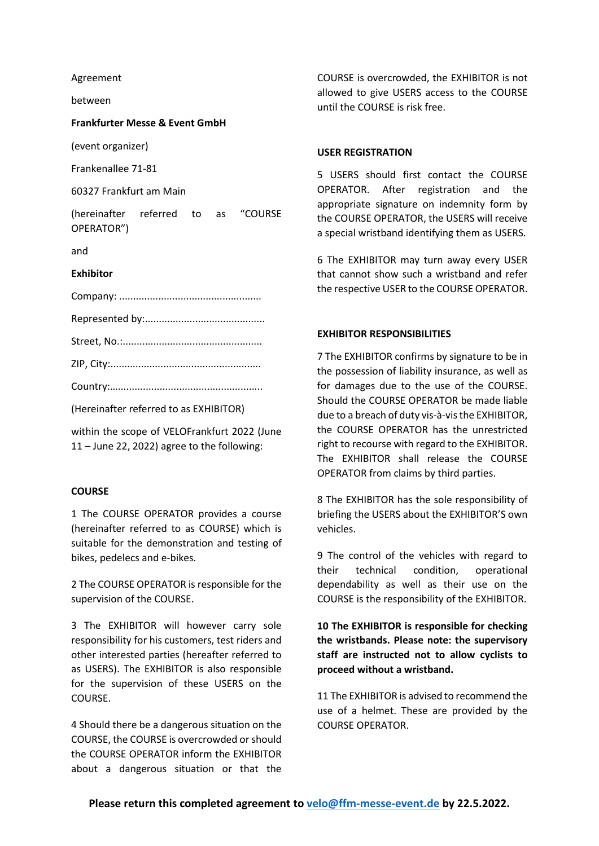Agreement

between

### **Frankfurter Messe & Event GmbH**

(event organizer)

Frankenallee 71-81

60327 Frankfurt am Main

(hereinafter referred to as "COURSE OPERATOR")

and

### **Exhibitor**

(Hereinafter referred to as EXHIBITOR)

within the scope of VELOFrankfurt 2022 (June 11 – June 22, 2022) agree to the following:

### **COURSE**

1 The COURSE OPERATOR provides a course (hereinafter referred to as COURSE) which is suitable for the demonstration and testing of bikes, pedelecs and e-bikes.

2 The COURSE OPERATOR is responsible for the supervision of the COURSE.

3 The EXHIBITOR will however carry sole responsibility for his customers, test riders and other interested parties (hereafter referred to as USERS). The EXHIBITOR is also responsible for the supervision of these USERS on the COURSE.

4 Should there be a dangerous situation on the COURSE, the COURSE is overcrowded or should the COURSE OPERATOR inform the EXHIBITOR about a dangerous situation or that the

COURSE is overcrowded, the EXHIBITOR is not allowed to give USERS access to the COURSE until the COURSE is risk free.

## **USER REGISTRATION**

5 USERS should first contact the COURSE OPERATOR. After registration and the appropriate signature on indemnity form by the COURSE OPERATOR, the USERS will receive a special wristband identifying them as USERS.

6 The EXHIBITOR may turn away every USER that cannot show such a wristband and refer the respective USER to the COURSE OPERATOR.

# **EXHIBITOR RESPONSIBILITIES**

7 The EXHIBITOR confirms by signature to be in the possession of liability insurance, as well as for damages due to the use of the COURSE. Should the COURSE OPERATOR be made liable due to a breach of duty vis-à-vis the EXHIBITOR, the COURSE OPERATOR has the unrestricted right to recourse with regard to the EXHIBITOR. The EXHIBITOR shall release the COURSE OPERATOR from claims by third parties.

8 The EXHIBITOR has the sole responsibility of briefing the USERS about the EXHIBITOR'S own vehicles.

9 The control of the vehicles with regard to their technical condition, operational dependability as well as their use on the COURSE is the responsibility of the EXHIBITOR.

**10 The EXHIBITOR is responsible for checking the wristbands. Please note: the supervisory staff are instructed not to allow cyclists to proceed without a wristband.**

11 The EXHIBITOR is advised to recommend the use of a helmet. These are provided by the COURSE OPERATOR.